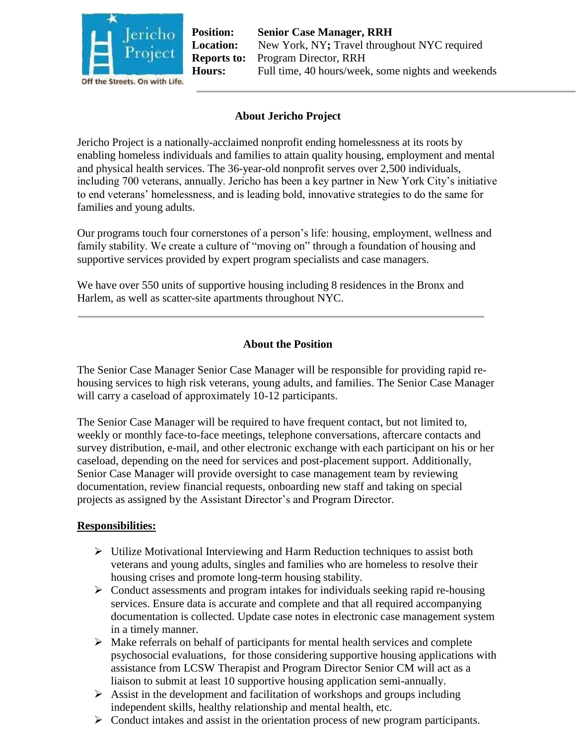

**Position: Senior Case Manager, RRH Location:** New York, NY**;** Travel throughout NYC required **Reports to:** Program Director, RRH **Hours:** Full time, 40 hours/week, some nights and weekends

## **About Jericho Project**

Jericho Project is a nationally-acclaimed nonprofit ending homelessness at its roots by enabling homeless individuals and families to attain quality housing, employment and mental and physical health services. The 36-year-old nonprofit serves over 2,500 individuals, including 700 veterans, annually. Jericho has been a key partner in New York City's initiative to end veterans' homelessness, and is leading bold, innovative strategies to do the same for families and young adults.

Our programs touch four cornerstones of a person's life: housing, employment, wellness and family stability. We create a culture of "moving on" through a foundation of housing and supportive services provided by expert program specialists and case managers.

We have over 550 units of supportive housing including 8 residences in the Bronx and Harlem, as well as scatter-site apartments throughout NYC.

### **About the Position**

The Senior Case Manager Senior Case Manager will be responsible for providing rapid rehousing services to high risk veterans, young adults, and families. The Senior Case Manager will carry a caseload of approximately 10-12 participants.

The Senior Case Manager will be required to have frequent contact, but not limited to, weekly or monthly face-to-face meetings, telephone conversations, aftercare contacts and survey distribution, e-mail, and other electronic exchange with each participant on his or her caseload, depending on the need for services and post-placement support. Additionally, Senior Case Manager will provide oversight to case management team by reviewing documentation, review financial requests, onboarding new staff and taking on special projects as assigned by the Assistant Director's and Program Director.

#### **Responsibilities:**

- $\triangleright$  Utilize Motivational Interviewing and Harm Reduction techniques to assist both veterans and young adults, singles and families who are homeless to resolve their housing crises and promote long-term housing stability.
- $\triangleright$  Conduct assessments and program intakes for individuals seeking rapid re-housing services. Ensure data is accurate and complete and that all required accompanying documentation is collected. Update case notes in electronic case management system in a timely manner.
- $\triangleright$  Make referrals on behalf of participants for mental health services and complete psychosocial evaluations, for those considering supportive housing applications with assistance from LCSW Therapist and Program Director Senior CM will act as a liaison to submit at least 10 supportive housing application semi-annually.
- $\triangleright$  Assist in the development and facilitation of workshops and groups including independent skills, healthy relationship and mental health, etc.
- $\triangleright$  Conduct intakes and assist in the orientation process of new program participants.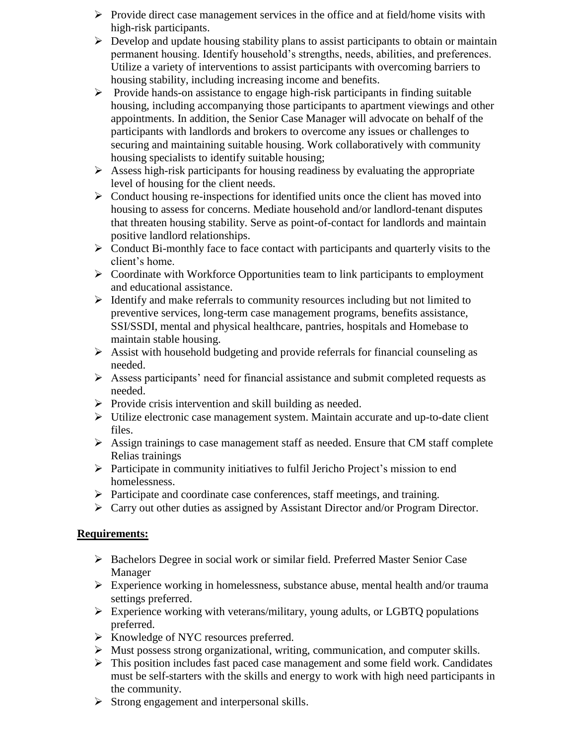- $\triangleright$  Provide direct case management services in the office and at field/home visits with high-risk participants.
- $\triangleright$  Develop and update housing stability plans to assist participants to obtain or maintain permanent housing. Identify household's strengths, needs, abilities, and preferences. Utilize a variety of interventions to assist participants with overcoming barriers to housing stability, including increasing income and benefits.
- $\triangleright$  Provide hands-on assistance to engage high-risk participants in finding suitable housing, including accompanying those participants to apartment viewings and other appointments. In addition, the Senior Case Manager will advocate on behalf of the participants with landlords and brokers to overcome any issues or challenges to securing and maintaining suitable housing. Work collaboratively with community housing specialists to identify suitable housing;
- $\triangleright$  Assess high-risk participants for housing readiness by evaluating the appropriate level of housing for the client needs.
- $\triangleright$  Conduct housing re-inspections for identified units once the client has moved into housing to assess for concerns. Mediate household and/or landlord-tenant disputes that threaten housing stability. Serve as point-of-contact for landlords and maintain positive landlord relationships.
- $\triangleright$  Conduct Bi-monthly face to face contact with participants and quarterly visits to the client's home.
- $\triangleright$  Coordinate with Workforce Opportunities team to link participants to employment and educational assistance.
- $\triangleright$  Identify and make referrals to community resources including but not limited to preventive services, long-term case management programs, benefits assistance, SSI/SSDI, mental and physical healthcare, pantries, hospitals and Homebase to maintain stable housing.
- $\triangleright$  Assist with household budgeting and provide referrals for financial counseling as needed.
- $\triangleright$  Assess participants' need for financial assistance and submit completed requests as needed.
- $\triangleright$  Provide crisis intervention and skill building as needed.
- $\triangleright$  Utilize electronic case management system. Maintain accurate and up-to-date client files.
- $\triangleright$  Assign trainings to case management staff as needed. Ensure that CM staff complete Relias trainings
- $\triangleright$  Participate in community initiatives to fulfil Jericho Project's mission to end homelessness.
- Participate and coordinate case conferences, staff meetings, and training.
- Carry out other duties as assigned by Assistant Director and/or Program Director.

# **Requirements:**

- Bachelors Degree in social work or similar field. Preferred Master Senior Case Manager
- Experience working in homelessness, substance abuse, mental health and/or trauma settings preferred.
- $\triangleright$  Experience working with veterans/military, young adults, or LGBTQ populations preferred.
- > Knowledge of NYC resources preferred.
- $\triangleright$  Must possess strong organizational, writing, communication, and computer skills.
- $\triangleright$  This position includes fast paced case management and some field work. Candidates must be self-starters with the skills and energy to work with high need participants in the community.
- $\triangleright$  Strong engagement and interpersonal skills.